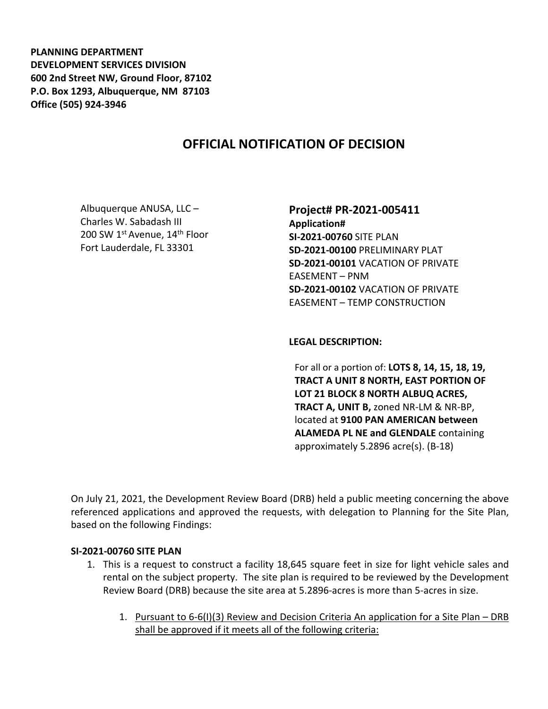**PLANNING DEPARTMENT DEVELOPMENT SERVICES DIVISION 600 2nd Street NW, Ground Floor, 87102 P.O. Box 1293, Albuquerque, NM 87103 Office (505) 924-3946** 

# **OFFICIAL NOTIFICATION OF DECISION**

Albuquerque ANUSA, LLC – Charles W. Sabadash III 200 SW 1<sup>st</sup> Avenue, 14<sup>th</sup> Floor Fort Lauderdale, FL 33301

**Project# PR-2021-005411 Application# SI-2021-00760** SITE PLAN **SD-2021-00100** PRELIMINARY PLAT **SD-2021-00101** VACATION OF PRIVATE EASEMENT – PNM **SD-2021-00102** VACATION OF PRIVATE EASEMENT – TEMP CONSTRUCTION

**LEGAL DESCRIPTION:**

For all or a portion of: **LOTS 8, 14, 15, 18, 19, TRACT A UNIT 8 NORTH, EAST PORTION OF LOT 21 BLOCK 8 NORTH ALBUQ ACRES, TRACT A, UNIT B,** zoned NR-LM & NR-BP, located at **9100 PAN AMERICAN between ALAMEDA PL NE and GLENDALE** containing approximately 5.2896 acre(s). (B-18)

On July 21, 2021, the Development Review Board (DRB) held a public meeting concerning the above referenced applications and approved the requests, with delegation to Planning for the Site Plan, based on the following Findings:

#### **SI-2021-00760 SITE PLAN**

- 1. This is a request to construct a facility 18,645 square feet in size for light vehicle sales and rental on the subject property. The site plan is required to be reviewed by the Development Review Board (DRB) because the site area at 5.2896-acres is more than 5-acres in size.
	- 1. Pursuant to 6-6(I)(3) Review and Decision Criteria An application for a Site Plan DRB shall be approved if it meets all of the following criteria: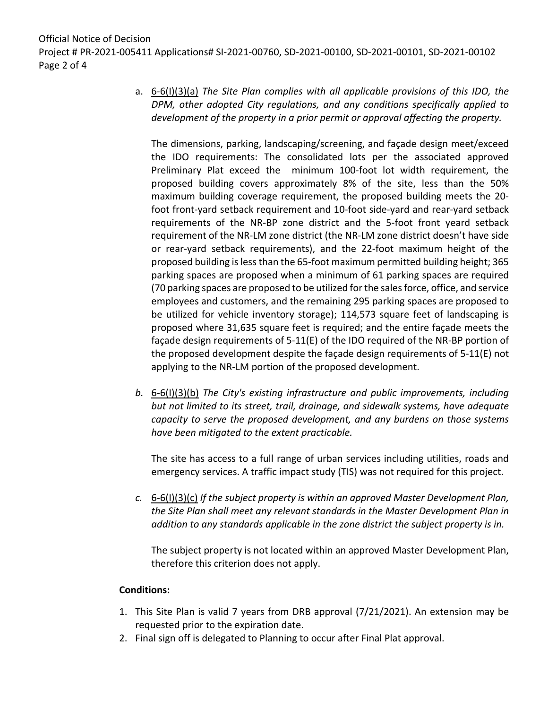Official Notice of Decision Project # PR-2021-005411 Applications# SI-2021-00760, SD-2021-00100, SD-2021-00101, SD-2021-00102 Page 2 of 4

> a. 6-6(I)(3)(a) *The Site Plan complies with all applicable provisions of this IDO, the DPM, other adopted City regulations, and any conditions specifically applied to development of the property in a prior permit or approval affecting the property.*

The dimensions, parking, landscaping/screening, and façade design meet/exceed the IDO requirements: The consolidated lots per the associated approved Preliminary Plat exceed the minimum 100-foot lot width requirement, the proposed building covers approximately 8% of the site, less than the 50% maximum building coverage requirement, the proposed building meets the 20 foot front-yard setback requirement and 10-foot side-yard and rear-yard setback requirements of the NR-BP zone district and the 5-foot front yeard setback requirement of the NR-LM zone district (the NR-LM zone district doesn't have side or rear-yard setback requirements), and the 22-foot maximum height of the proposed building is less than the 65-foot maximum permitted building height; 365 parking spaces are proposed when a minimum of 61 parking spaces are required (70 parking spaces are proposed to be utilized for the sales force, office, and service employees and customers, and the remaining 295 parking spaces are proposed to be utilized for vehicle inventory storage); 114,573 square feet of landscaping is proposed where 31,635 square feet is required; and the entire façade meets the façade design requirements of 5-11(E) of the IDO required of the NR-BP portion of the proposed development despite the façade design requirements of 5-11(E) not applying to the NR-LM portion of the proposed development.

*b.* 6-6(I)(3)(b) *The City's existing infrastructure and public improvements, including but not limited to its street, trail, drainage, and sidewalk systems, have adequate capacity to serve the proposed development, and any burdens on those systems have been mitigated to the extent practicable.* 

The site has access to a full range of urban services including utilities, roads and emergency services. A traffic impact study (TIS) was not required for this project.

*c.* 6-6(I)(3)(c) *If the subject property is within an approved Master Development Plan, the Site Plan shall meet any relevant standards in the Master Development Plan in addition to any standards applicable in the zone district the subject property is in.*

The subject property is not located within an approved Master Development Plan, therefore this criterion does not apply.

### **Conditions:**

- 1. This Site Plan is valid 7 years from DRB approval (7/21/2021). An extension may be requested prior to the expiration date.
- 2. Final sign off is delegated to Planning to occur after Final Plat approval.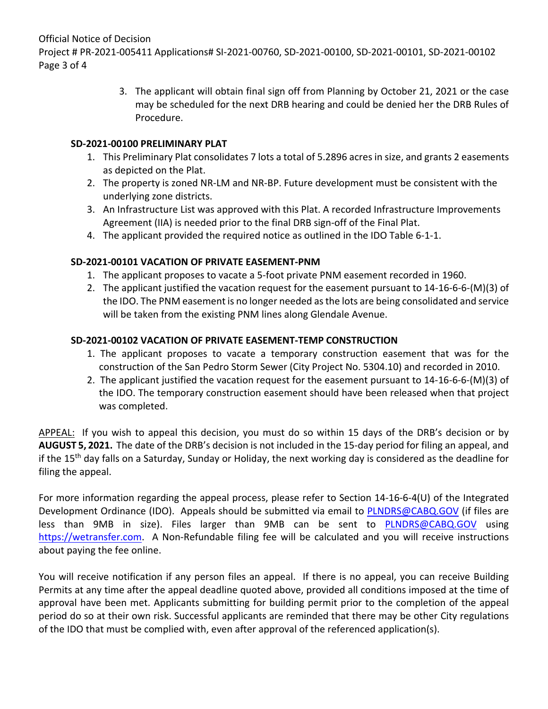Official Notice of Decision

Project # PR-2021-005411 Applications# SI-2021-00760, SD-2021-00100, SD-2021-00101, SD-2021-00102 Page 3 of 4

> 3. The applicant will obtain final sign off from Planning by October 21, 2021 or the case may be scheduled for the next DRB hearing and could be denied her the DRB Rules of Procedure.

#### **SD-2021-00100 PRELIMINARY PLAT**

- 1. This Preliminary Plat consolidates 7 lots a total of 5.2896 acres in size, and grants 2 easements as depicted on the Plat.
- 2. The property is zoned NR-LM and NR-BP. Future development must be consistent with the underlying zone districts.
- 3. An Infrastructure List was approved with this Plat. A recorded Infrastructure Improvements Agreement (IIA) is needed prior to the final DRB sign-off of the Final Plat.
- 4. The applicant provided the required notice as outlined in the IDO Table 6-1-1.

## **SD-2021-00101 VACATION OF PRIVATE EASEMENT-PNM**

- 1. The applicant proposes to vacate a 5-foot private PNM easement recorded in 1960.
- 2. The applicant justified the vacation request for the easement pursuant to 14-16-6-6-(M)(3) of the IDO. The PNM easement is no longer needed as the lots are being consolidated and service will be taken from the existing PNM lines along Glendale Avenue.

## **SD-2021-00102 VACATION OF PRIVATE EASEMENT-TEMP CONSTRUCTION**

- 1. The applicant proposes to vacate a temporary construction easement that was for the construction of the San Pedro Storm Sewer (City Project No. 5304.10) and recorded in 2010.
- 2. The applicant justified the vacation request for the easement pursuant to 14-16-6-6-(M)(3) of the IDO. The temporary construction easement should have been released when that project was completed.

APPEAL: If you wish to appeal this decision, you must do so within 15 days of the DRB's decision or by **AUGUST 5, 2021.** The date of the DRB's decision is not included in the 15-day period for filing an appeal, and if the 15th day falls on a Saturday, Sunday or Holiday, the next working day is considered as the deadline for filing the appeal.

For more information regarding the appeal process, please refer to Section 14-16-6-4(U) of the Integrated Development Ordinance (IDO). Appeals should be submitted via email to [PLNDRS@CABQ.GOV](mailto:PLNDRS@CABQ.GOV) (if files are less than 9MB in size). Files larger than 9MB can be sent to [PLNDRS@CABQ.GOV](mailto:PLNDRS@CABQ.GOV) using [https://wetransfer.com.](https://wetransfer.com/) A Non-Refundable filing fee will be calculated and you will receive instructions about paying the fee online.

You will receive notification if any person files an appeal. If there is no appeal, you can receive Building Permits at any time after the appeal deadline quoted above, provided all conditions imposed at the time of approval have been met. Applicants submitting for building permit prior to the completion of the appeal period do so at their own risk. Successful applicants are reminded that there may be other City regulations of the IDO that must be complied with, even after approval of the referenced application(s).